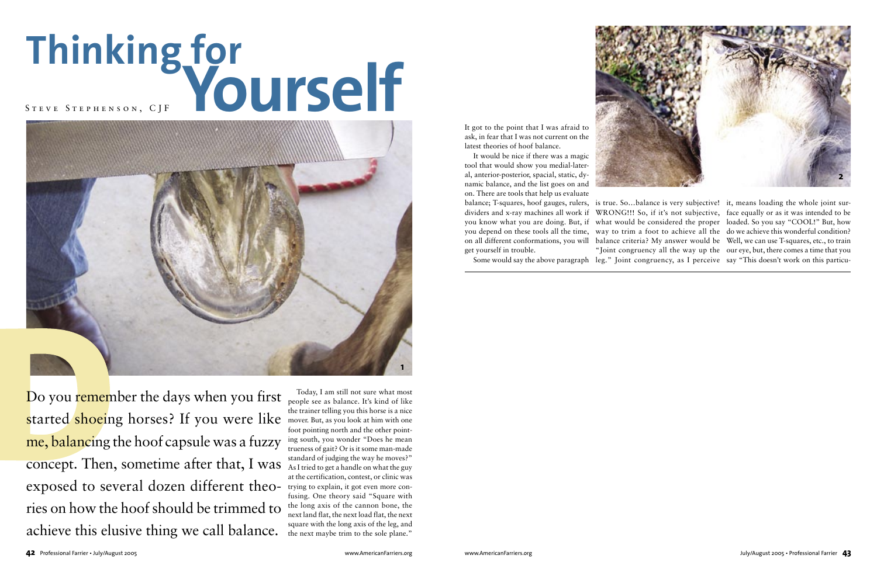Today, I am still not sure what most people see as balance. It's kind of like the trainer telling you this horse is a nice mover. But, as you look at him with one foot pointing north and the other pointing south, you wonder "Does he mean trueness of gait? Or is it some man-made standard of judging the way he moves?" As I tried to get a handle on what the guy at the certification, contest, or clinic was trying to explain, it got even more confusing. One theory said "Square with the long axis of the cannon bone, the next land flat, the next load flat, the next square with the long axis of the leg, and the next maybe trim to the sole plane."

Do you remember the days when you first started shoeing horses? If you were like me, balancing the hoof capsule was a fuzzy concept. Then, sometime after that, I was exposed to several dozen different theories on how the hoof should be trimmed to achieve this elusive thing we call balance.

It got to the point that I was afraid to ask, in fear that I was not current on the latest theories of hoof balance.

It would be nice if there was a magic tool that would show you medial-lateral, anterior-posterior, spacial, static, dynamic balance, and the list goes on and on. There are tools that help us evaluate get yourself in trouble.

## **Thinking for Yourself** S t e v e S t e p h e n s o n , C J F

balance; T-squares, hoof gauges, rulers, is true. So…balance is very subjective! it, means loading the whole joint surdividers and x-ray machines all work if WRONG!!! So, if it's not subjective, face equally or as it was intended to be you know what you are doing. But, if what would be considered the proper loaded. So you say "COOL!" But, how you depend on these tools all the time, way to trim a foot to achieve all the do we achieve this wonderful condition? on all different conformations, you will balance criteria? My answer would be Well, we can use T-squares, etc., to train Some would say the above paragraph leg." Joint congruency, as I perceive say "This doesn't work on this particu-"Joint congruency all the way up the our eye, but, there comes a time that you